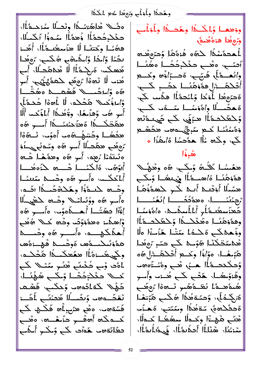وهَدهُا ولَموْلُم ورُوهُا هُو الحُدُا

وصَّىٰ وْلِهَيْئِكُمْلُ وِنْصِلًا مُنزِيدِةً لِّلْ حِنْكِرِجُحِدًّاً لَوُهِدًّاً مَّحَوزًا ٱلْكَحِلَّا. دهُمُــا وكتنْــا لُا مذَممكُنــهُ أَا. أُمَّـــ; ىصَّا وَٰآٰىدًا وَٰآٰىٰۖدَهُ ۖ هُ كَبِ ۚ رَهِهُـا هُهكُــه: هَرِبْــهُ أَا لَا هُـههَّدـُلَا: ۖ أَب هُذَا الْمَوْمَاحِ مِيهِ الْمُعَالِمُ مِنْ الْمَعْدِ مِنْ الْمَسْرَ وَّاْمِرْ ذُكِيلًا هَٰذَكُمْ: لَٰلْ غُرْهِ ۚ وَا دُحِدَّيَّ أَمِرٍ هُبَ وَقَنَّمَا. وِقُعُكُما أَلمَؤَكُمَا أَلْمَنَا هكَخَكْــدًا هُعَتَمْـدُمْــدًا أَــــو هَه هدُهُــا وحُتنمُــهُ٥ت أُ٥وَّــ. تَــهُ٥ْا رُهِ هُبِ هِهُداً أُسِرٍ هُهِ وَسُوبُو حِدُوبُهِ مِنْ الْمُحَمَّدِ ه تُمتمُنْا رُهِهِ. أَمر 60 وهدَّهْما دُهِ أَآؤَهُم، وَٱلْحُسُمِ الْمُسْمَدِ لِأَوْهُسَمْ ٱلمَكَــْـــــــه أُســـو 6ه وشَــــــــم مَّـللسُـــا وحْده لحْبِدُوْا وهَكْدَهْ حُسِمًا رَضْحٌ. هأسو قه ووُتَىاسْلا وشَــرَه ـلـفَيْمِــُلا }وّْأَا دَهَمْتُما أَحْسَدُه وَّبٍ وَأَسْسٍ وَهُو وٛٳؗۿڲۘڵۂ ٥ۿۮٞۏۅؙۜػٮ؋ڂٛ۞ ڬٮڵٲ۞۠ۿؙٮ ھەُوۡنُىكىــەُھ، ەُوھُــــى ھُئےــزەُھ، وكَمِيعًىــزةُ أَا هِمَعكَــدًا هَدَــدٍ. لمأد وْبِ هُنْسُهِ هْنُــدٍ مِّنْسُلا كُلّـع كَـــلا حَكْتَزَحُضًــا وُلكَـــع هُهُنَــا. كَهُلا كُة ادُه من وُحكْبٍ، فَهُـت لْقَصُّــــە∞ ۆَىثَىــــلَّا مَّدىئىّـــى لِّاَصَّــۃ كَسَّة من مَنْ مَرَّبِ أَمَّهُ كَلَّكُمْ لَّكُسْ كَـــه كَــُه أَهْقَــــو خَمْــقـــه. ه مَّــب دىغَائةھە ھَەْت كَے وُمكْسٍ أَمكَمے

وذهما ولمكثأا وهجما وأذأب وُرِّهِ هَٰذَا هُوَ هُدِمَّ أَحدَمْنُدًا لِهُم فُزْةُهُا وَحَرْوِهْــه أَدَمَّــــبِ، هڤـــبِ دَكْــْبِدُكَـــا هِهُنُــا والُعِسْفَلُمْ هَٰرَمَسِيْنَ هَجَسَمَ}}وْ90 وكَسْم أُفْكِمًا زَرَا هِمْوَمُنُـــا حَصَّــ كَــــى: ەَحرَەهُا لِمَعْا وَلِمُحدَّلًا هِمَّى كَب ەْھدَّىسال واەْفىئسا مىسەً كىسى: وَحْظَحْدَهُ أَا هِجَوْنِي لَّكَے ضَّحِدَهُ وَدَّمُنُنَا كَــمِ مَّرِيٌّ هُ مِنْ مَنْ مَنْ مَنْ مَنْ مَنْ مَنْ كُم: وكُلُّه عُلًّا هؤْدِسُا وَّامِعُزًا \* هُمرُوْا همُسُلُم لَمُدهُ وُلِّى. هُه ومُدَّل هِمْوَهُنَا هُ/هِيمَةُ الْأَصْبِهِ الْأَصْلَامِ وَمِكْب هسَّىلًا أَوْضُلَّمَ أَنَّنَا لَكُسِّ لِكَعْفَوُّهُـٰا ?,حِمْنُمُـــــــا. وهؤَ*دُدُــــــا إِنْهُمْــــــ*ا كَعِزَمِيعُنِيدُلُرِ أَبْلَلْمِيمُنِيمَ وَأَوْضُلُ وهؤوهُنا معُنْدَحُلُ وَحَعَدَدُواْ وذُهلكب هُكْمًا مَتْنَا هَنْسَا وَلَا ھُدْمَحْكُنْا ھَوُسِدْ كُلّ حَيْرٍ رُوهُا هَبُعُسًا. وَوَٰٓاوُّا وِكَسِعِ أَصْلَٰکَسَۃُ اِلْوَٰہِ وُحكُدحِــةُ أَا حَـــرُ، قُبْ وِةُـُــتُوهوب وفَزَوۡعِمَٰا ٰ ہَٰنَے کے مُنے واُسو هُمؤُهِدُمًا يُعْدِؤُهُمِ شَدْوَةً رُوهُم ەَبِكِمُلٌ. وَحِمْةهُدًا هُكُب هَٰٓ;تَهْـا ەْھشْلەە، ئەقھْدا ومىيىت، ەھمۇم هْنَّــع هُجَــٰٓرَا وكَــٰمالًا معهُعُــا كَــٰمالًا، مْدْنِطُا. هْمْلْمَالُمْ أَحِكْمِكَلُّا. فَيِحْرَاطُوعُلُّا.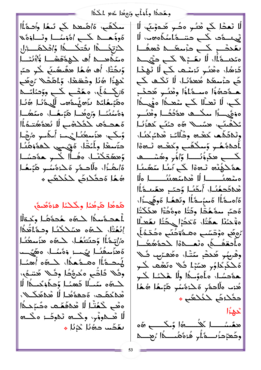وهَّدهُا وأَوْلَى وَرُوهُا هُو الْحُدُا

سَكْفَبٍ: هَ/هُبعد كَي تَبِعُا وَرُصِدًا! دُوؤُهك لِكُبِ ادْوَمُكُ ونْكُلُوهُ لَا √تېگ∆ًا *ى*ئتىگ∆ُا ۇ*ا*ڭ\ڭ *-ئ<sup>ۇ</sup>ل* ەممْدْھىـــى أَفْ بِكَمِمْقَشْـــا وُٱٱتُنْـــا وُىصَّتْا، أَى شَمَّا مصَّمَّىنٌ كُـرٍ حَبَّ لْكُمْزًا هُلًا وِحْقَقَا. وُلَمَّحْلا رُوهُب ەُنگەكَا، ەھَنْب كْب ووَْصَائَــدَ لَّـذُهُ لَـذُهْرِ لِلَّـ مَاهُمْ وَمِنْ مَثَلَهُمْ بَعْهَ وَدَّمُئُنُّا وَرَٰدِهُكَ هَٰٓيُمُكُّا دَمَّعَهُكُ هُـعصـهُٰڡ ڂڠُڂڜٛٮ لَٰا ٮُعهُٚهُتمُٱ أَ وًىكَبِ: هزَّىمعُنُا ِ ۡ ِ ۖ أَمِلَاتٍ هُ وَٰرِيْهَا حَتَّمعَكَا وِلَمُتْتَا، هَوْيَسِي لِحْقَةَوْهَنُـا وَههَقكُنْـا. هِقُــاًا كُـــو ههَٔدمُــا ةُا حَذَّا. ولَاحتَّر هَكْزَةَ مُبِ هَٰذِهُم هُمُا هُحثُدرَکُم حَنُدْهُب \*

هُوهُا هُرِهُنَا وِكُلْنَا فِرْقُهُو أهجه ملأله لمحدث المعفول إِنْعُتْلِ لِحِمَى مِمْكِكْنَا وِصِمَاتَهِمَا هُ اُبْتِهُ أَلَّا وُحِنْتِنُعُمَلَنَّ كَلَّهُ مِنْ مِعْنُدَا سرژهه المدْهُ: نِسروْ النْفُمْنَة لَمحصةُ أَلَّا هِ هُمْ مَا الْمُصَدَّلِ الْمَصْلَمَ وئَلا دَٰاتُبِ مَدْهُدًا وئَـلا هُتنـهُ. لِحْدَةُهِ مِمْسُلًا ضَعِمْسًا وَحِذَوْكُمِيْدًا لَّا مُدكَمَحٍ. وَحِدَّمُها لَّا مُدمَّكَـــلا ـ وهْبِ كَعُثْلِ لُا هُدْفَعُت وصَّرِّحِدًا لُا مۡــکووۡوٖ. وِكْـــہ نۡکوکَــۃٖ ہگــہ ىمْكْس دەْئا كْرْنَا \*

لًا نْعِضًا نَكَّى هُنُبِ وَضُبٍ هُجُوْمَتٍّيَّ لًا لْهِ بِعَمْدِ كُلِّي حِسْدَةً الْمُذَهَبَهِ لَلَّا بمُدمْبِ كَبِ حزْمِعْـــمْ ثَعْفُــا هَكِنِدُاً!. لَا نَفْتُ لا كَبِ حَيْنٍ هُ كَنْهَا، وَهْنُـرٍ نُنْسُـْفَ كُـنِ لَّا تُهْخُـلُ کُے جنْسِعَٰہٗ مُعدَّنُاً، لَّا تَكْتَفُ كُنَّے هجَّدهُوُّا مسجَّاوُّا وهْنُــو هُدَــُـو لْكُمْ مِنْ الْمُتَعَمَّدِ مِنْكُمْ الْمُعَيْدَا وَفَيْ جُمَّا ەفۋەك ئار مىڭلىك ھەڭگىل وڭىئى مُلفَّسَّىٰ: م*َسَّىلا 6*ہ *دنبَّ*ے کَعزُنُـل ولْمْكَمُعَ حُمْدِه وَشَلْاسُ; هُمْبُهُنا. لِمُحدَمُـــــو وُحدُّـــو وَكَـــوه مَـــوه الله عَامَ كَّـــــــــــ هَذَرْ ذُنُـــــــا وَٱوْبِ وهُسْـــــــــ ه هَدَكُهُنَّه نُدهةَا لَكَع أَسُلَ مَعْهُمِنُا منْعمَدُ الْمُسْتَمِمْتُمْعَيْنُ الْمُسْتَمَرِينَ هْدْكَحْفُتُـا. أَحْثُـا وُحتَــر هِمْتِــدُّلُّا هَاهِ حَمَّلًا هَمْبُسَةً لَمَّا وتَعْمُلْ هَوِفَيْ أَنْ هُحِبٍّ مِهْمُخْلِ وِكْتُل هُوهُكُتْلِ هَكَكْتُل الْمَعْمَا لِتُكْرِ ابْكْتَنَ ،لْتُفْعَ لَنْنْمَةُ ه أَرْهِقُهِ هُوۡحَسَّى هَدَّةَ تُمَنَّى هَجُدَهُ لَهُ ۖ وأصقفُكُ ونْعَــدْهْ لاحدُهُمُعُـــا وفْرِمِهُو هُدَهْرِ مَنْتْلٍ. هَهُدْرُمِبْ شُلا هَكُذِّبَكَاوُرٍ هِمَّبْنَا شَلا هَقْفُفَ كُنْزِ هدَّحسُـا، ولَمُوَسِطًا وِلًا هَـٰـُـُـا ـُـٰـبِ هُذِب ولَاحِدٌرِ وَكَذِوْمُهُرٍ وَكَبْسُهُا وَهُمَّا حثَكِيمٌ حَنُكْشَى \* تحمذا همُسُط بُلُّـــــهُ أُوَّــُـــــهِ هَ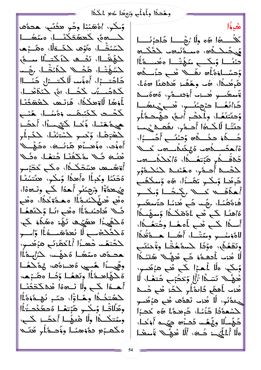وهَدمُا ولَموْلَم ورَوهُا حُوم لمكْمُا

وَْمَكُـرٍ. }ةَ تَمْبُبْلُ وحُـرٍ هَحُنَّبٍ. هجةً ي لمسوقُ كَعِفَةَكُنْسًا: مَمْعُسًا لكِمْنْتْسَارْ، هَرْوْهَا لِكَسْتَةْلَارْ، هِهْشْهِمْ، لِحَمْقُـال نَفْــِ حَرَّكَتِــُلا مِـــوَّى لْمَمْهَٰتُـلْ. هُصْـلا لْلْمُمْشَـلْ. رِجُــٰب كَاحَّتِ بْلِّ أُوفُمِ لِّلْكُتِ بْرَاحِ كَمُ ال كَمْحَمَّسْتُوبْ حْكُسْمًا؛ ايْ حْكَمْقْسَا؛ لِّوْهُا لِّلْوْهِكُمُّا، فَرْنَـها لِكَعْقِدَّنْـا كْثْــد كْكُبُمْــد وْهُمْــا هُمْــو هيدُمْنَا. وَّكُما كَتَيْمِمْلَا. أَحْضَـز لْحَقْتِهَا، وُكْتُبْ لَحْمْتِنْتُا، لَحَكَمِلُر أُوذُفٍ، وَذُهِبْ وَمُ إِنَّسَافٍ، وَحَذَّبِكُمْ هْنُـة شَـلا حَنْحْفُبْل حُتمْـل هِنَـلا أَوْهُمصه مشتكلًا. مكَّ كتَّبْس هُحْنَىُا وِكْبِلًا هِأَهِدًا وُحِكْرٍ. هِنَّتَمُنْدَا ى هدَّةُ وَرْجِئْسُ أَهْدًا لَكَمْ وِنْـ30\$. ەھْع ھُرۇكىنىدۇ المىھمۇقىكىدا ، مەھىم ثَــلا هَٰادىُــةُ1ًا هفَــ انُـا وَجَنَعَمُـا المِكْ هَدُهُه مَنْ عَرَضَهُ الْمَوْكَة ەَ كَثَلاشىپ لُّا ئىحەَ قىسسەڭ **ا**َلارَ اسىر لِكْتَمَّـٰ شُعْـَٰٓا ٱلْكَفَّرْبَ هَزْهَٰـٰبٍ. الْمُصِدُم سَمْعُد لَكُمْ مِنْ الْمُؤْمِنَةِ وفَي أَ هُبِي هُ هَنْ هُمُ الْمُحَمَّد هُكَهِّلُوحِدًاْلِ وتُعِصُلِ وَحُطِ وَهُبْهِمْ . أحدًا كُبِ وِلَا نَـــ90\$ هُمْكُدّْشَا. لِحْهَّتِخُلًا وِهَّاؤْلُ حَيْنٍ نُهْدُّوْهُ أَلْ وهَٰلَاتُـا وُحكُــو هَءٌتِمْـا هُحعَدْحَــُّ أَا ومُتكْـدًا ولًا هُـوُــا أَحكَــز كُــب: مكعبُم ئةُوْھمُـا وِوَّْصـةُلُر هُنَــلا

ۿۘڋۏؙٛٳ كْـــــــــهُا هَــ ولَّا رُحْــــــــا خَـاحزُنُــــــا ى خُىلىشى ، ەمسۇئىھە لىكىنىچ حنُسًا وُحْك حَكْشَا معُمِيَّا ا وَحِسًا وَهَٰٓأَه يَفَسِلا ۚ قَبِ حَزَّبَ أَهِ هُبِهُداًا: ٥مَد وهَقَد: هَدَهَدًا ١٤٥٥. قُصطُمِ لله المُ أَوْصِدُو: ٥٥٥ مُكْمِد أَسِفْسِهِ مَنْ مَسْسِرٍ وَسَمَّسَتَ مِنْ مَسْتَمَرَّسَ وَحِنَّتَنَّعُـا وِلْمَحْبِ أَبِـيَّ حَجَّىحِـدًاٰبِ دَسُّا لَّاحُدهُا أَحدَّىٰ، بِفَعِظَيْهِا دُـــــهُوَ دَــُــــهُ(٥ وَدُعَـَــــعِ أَدَّـــــعِ). كَمْقُــمُرِ هُبُتمُــمُّا. هُ/ْمْــدُمُـــــوم لحضْكم أُصفُر، مكْتْسك لْمُنْكْفُوُر كَرِهُما وُلِكُسٍ مُقَسَرًا. ۞ه وُسِكُفَب فُوْهُمُنَا. رضُم ضَى هُوْسًا حَبَّمَعَمْسِ كَاهِنُا كُلِّ هُلِّ اهْقَكْلُا وَسَهَّنَاْ أُمْكُمَا كُبِ قُبِ لَمَعُكُم وحُتِمُكُما. للأذمُّبِ ومَثْلٍ أَهُا عَدَّمُوا وِنَقَعُكُن: وَوُدًا ۖ حَسَقَـٰهُشَّا ۖ وَقُحَنُنَـٰبِ لًا هُنِ ۖ اُدهـهُۥ ۖ ثَــبٍ هُوُــُـلا هَمْتَــٰدًا وَٰٓىٰٓگَ وَلَا اُلۡعَـٰٓٓٓٓٓٓٓ ا لَکَے قَبِی عَہٗقَیـَـبِّ هْهُــٰـلا نَتنــٰهُا ۥُزُلَ وُتحكُمْـبِ حُتـْفـا. لُل هُنِ أَهِمِّ دُابِهٗ أُرٖ حٰكُنا هُبِ شَبِهِ حِمَّقُو، لَا هُنِ نُقِفُ هُم مِّكُمْ لِمَّا مِنْ مِّلِهِ مِنْ لِلشَعْوَّظُ حَزُّعًا. خَرِهِجَا وَهُو كُحِرَا حَدِّمِـلًا ويُهَــد كَحـنْزه حيْــه أَوْحُـلَ وَلَا أَعْلَيْ جَدِينَ أَلَّا مُحِيَّى تَحْمِيطِيْنَ وَمُحَمَّى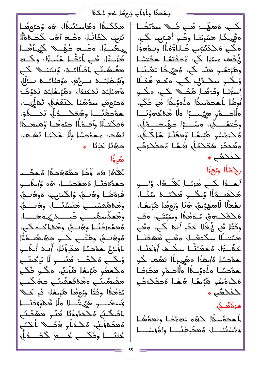وهَّدهُا ولَمُوْلَى وَرُوهُا حُوم لمكْهُا

هكَكْمَدًا وَهَامِئْتُمَاً: 60 وَحَرَّوهُمَا تَّرْمِب حَدَّاتُـا. وَحْـهِ أَهُّب حَّـْتَـهِٱلْا لِكَمَاسَةِ الْكَتَمَاءِ مِنْ ابْسَكْمِ كَنَوْسَتْزَا، قْبِ لَمُنْشَا هَنّْوَسْتْزَا، وِكْبِهِ ھقىمّىبْ ائىللئىد. ۆىسىلا كى وأَوَّىعُائَـــدْ بِــرەَّىْ: ووَّصْائــدْ بِــرَّلْلَ: وَاهِمَائِكَ لَكَتَمَادُ وَهَبَسَعَائِكَ لَكَوَجَبَ ەَدَى ھَى مەھىما كىقىمى ئىلگى: هدَّحمُنُـــا وهَتكـــدُلِّ نَحـــدَوْ. هُحكْتِبْلَا وزُحِــةُ أَا حَمّه هُـــا وُهنُعِـــدًا نْعَف، معدَّدسُا ولًا هُكسًا نَعْصَد. حەنُل كْدُنُل ﴾

هُهِ ذُا

كَلّْهُا هُو ذُكُلّْ حفَّةهُحِمَّا هُـعجَّىب حەدُّةدُنْـــا ھُ ھڪمئـــا. ھُ0 وُّاعظُــــو فُزِهُهُما وَهُ سِمٌّ وَالْكُنُرِبِينَ هُوَهُ سَمٌّ وقُدْهُ مُمْسَى هُنُسُكَـٰا. وهُ نَــــهُ) وثعمكم من شمس المستمرين والمستمرين وتحديثهم وتكسير المستمركين والمستمركين والمستمركين والمستمركين و كَعفَفادُنُا وِهُ سِمَّ، وقَدْمَا كَلْمَ كَلِي: ەُوھُنىُّ وِھُنْب كُنْبِ دەھَىھُنىڭلَّا لمؤَمَرَلِ هؤَدسُل هذَروُنُل، أَبِي أَمكُنِ وۡكَـــبِ هَٰـدۡكَـــۃ هۡسُـــبِ لَٰٓا یُہۡکَـسَــبِ ەڭمەر مَبْمُا مُنْتَى مكْر ئُكّى ھقىقىلّى ەھْلاكْمقىلّى دەڭلىپ مّةهُدًا وكُتُا وَرُههُدا هَبَّىهُا. كَبِ كَحِلا تُصعَّمِــــو هَيَّتْـــال هلْل مُحَوَّوْدُنْـــا لمَّكْتُبُ هَـْدَهُووُّنُا هُنُـوٖ هِهَمْتُتَـعِ ەَھكَدْفَىبُ ەَكْدُلُر ھُكُسُلا لِّكْتُبِ كتنسا وثكب كمسع لأتسمه

كُبِ: هَمهُـــز هُبِ ثَـــلا مِمْنُصُـل ەقىكا ھمّېنْىا وخُىر أَھىِّما كَے. مكْمِ هَٰكِنُتَبۡبِ ضَالَمَٰٓوَٰٓءُاٗا وِٮـؤُووَٰٓا لَهُم مَمْ إِلاَّ مَحْتَمَا هَدَّسْا وهَبَّتمَس هنَّ کَلِّ هَدَكَ اُ مَعْدَدًا وُكْبِرِ مِكْمُلٍ كُبٍّ، ەكْتْتْر فُتْتْلَل إِسْتُمْلِ وِدَّتُوا هَدْ لَكِينَ مِكْسٍ اُوهُا لِمُعجَمْعِهُا مِلْمَوْجِمًا هُو ثَكُو. ولَلْحَسِمْرِ هِيُحِسبُرْا ولَٰلا شَكلَحُدُورُنَّا ودُتمُـــــمٌ، ممُـــــرْا دهُمدــــةٌلَمْ، ەْݣَەمُمُو ھُبُعْمَا وَهفَسْا هْلَتْكُمْ؛ ەھَدِدَ ۚ هُتَـٰدُهُۖ ﴾ هُـمُـا هُحثُـٰدِدَـٰـ لمنكفكم \* إربجةُ أُل وَرْجَزُا أَهْلُهُ لَآلَ هُوَسُلٌ كَلَّكُ وَٱسْتِرَا ٱلْمُسْتَرَاتِينَ وَٱسْتَرَاتِينَ مَحْدُفَسِدَّاْل وُحْسِرِ مَحْمَدِهِ مَتْسَاد بِمُعِلًا لْاهِجِبَمْ، هُ ا وَرَهِ هُ الْمَحْسَمَان هُكْشُكْ هِيَّ صَّةِهُكُمُّا وِمُّمِّتَنِّبٍ. وَضُع وكَتُا هُم يُقْلًا دُكِّ أَبِهِ كُلِّ، وهُلِّ همّتــلًا مكتعْــا. هعْب مْعْمَثْـل حَدَّثَانَ مَعْمَنْتُ مِكْتُ أَوْجُنْتَانَ هؤدسًا وَاحْتُوا وهُمِجِراًا تَهْمِد كُلِّ هدَّحسًا مأَوزَّحطًا ملَّاحِدَّدٍ هجَّرَحُـا ەَكْزەُمُو ھُرُمُا ھُھُا ەَحثَكْلاَصَ لمنكفكم \* **عزةُ هُدةٌ)** 

أهجؤهما لحقو ءهؤكا ونعؤهما ۈۋىمْنْنُـــا، ۆھكْرِھْنُـــا واۋْوْمْـــا